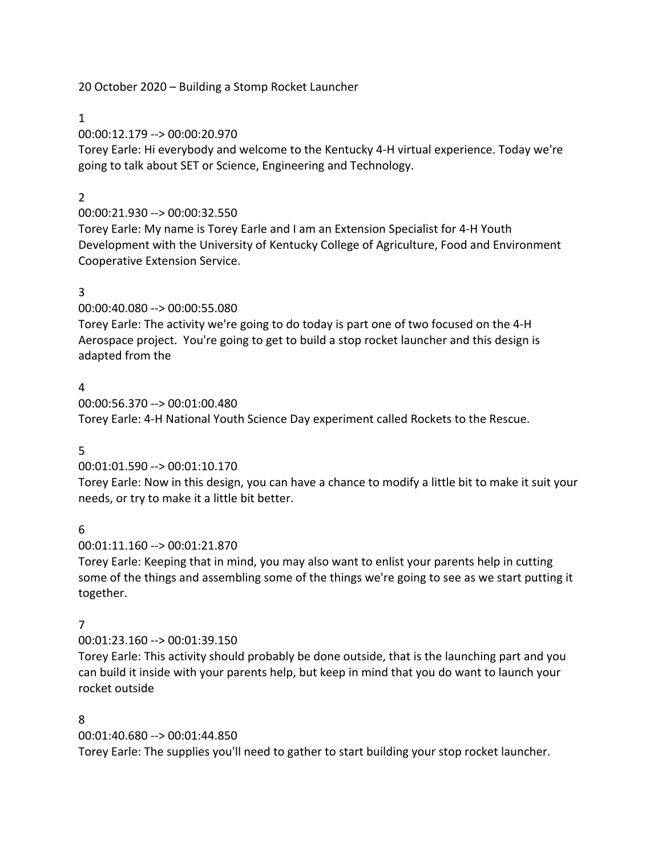20 October 2020 – Building a Stomp Rocket Launcher

## 1

00:00:12.179 --> 00:00:20.970

Torey Earle: Hi everybody and welcome to the Kentucky 4-H virtual experience. Today we're going to talk about SET or Science, Engineering and Technology.

# 2

# 00:00:21.930 --> 00:00:32.550

Torey Earle: My name is Torey Earle and I am an Extension Specialist for 4-H Youth Development with the University of Kentucky College of Agriculture, Food and Environment Cooperative Extension Service.

# 3

00:00:40.080 --> 00:00:55.080

Torey Earle: The activity we're going to do today is part one of two focused on the 4-H Aerospace project. You're going to get to build a stop rocket launcher and this design is adapted from the

## 4

00:00:56.370 --> 00:01:00.480 Torey Earle: 4-H National Youth Science Day experiment called Rockets to the Rescue.

### 5

# 00:01:01.590 --> 00:01:10.170

Torey Earle: Now in this design, you can have a chance to modify a little bit to make it suit your needs, or try to make it a little bit better.

# 6

00:01:11.160 --> 00:01:21.870

Torey Earle: Keeping that in mind, you may also want to enlist your parents help in cutting some of the things and assembling some of the things we're going to see as we start putting it together.

### 7

### 00:01:23.160 --> 00:01:39.150

Torey Earle: This activity should probably be done outside, that is the launching part and you can build it inside with your parents help, but keep in mind that you do want to launch your rocket outside

# 8

00:01:40.680 --> 00:01:44.850

Torey Earle: The supplies you'll need to gather to start building your stop rocket launcher.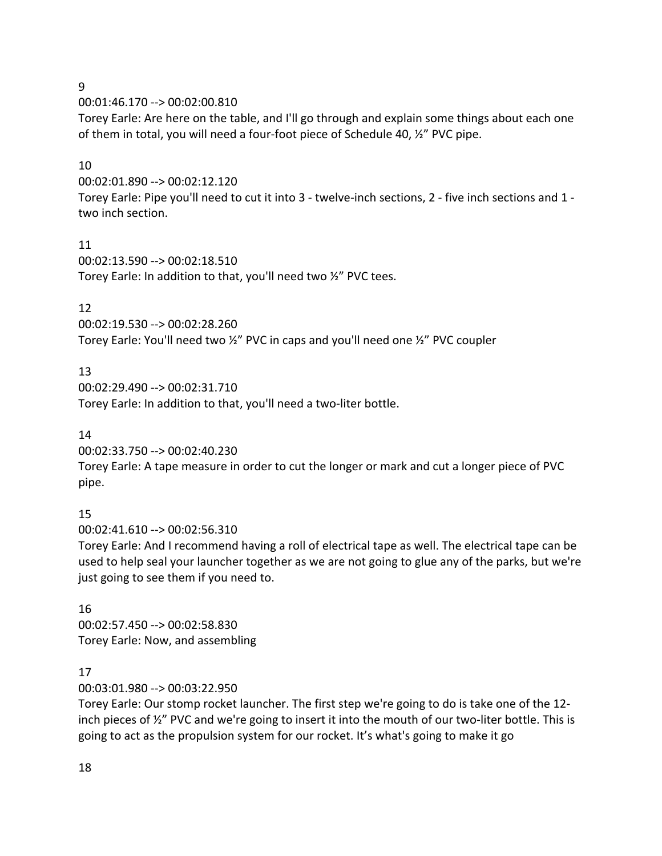9

00:01:46.170 --> 00:02:00.810

Torey Earle: Are here on the table, and I'll go through and explain some things about each one of them in total, you will need a four-foot piece of Schedule 40, ½" PVC pipe.

### 10

00:02:01.890 --> 00:02:12.120

Torey Earle: Pipe you'll need to cut it into 3 - twelve-inch sections, 2 - five inch sections and 1 two inch section.

### 11

00:02:13.590 --> 00:02:18.510 Torey Earle: In addition to that, you'll need two ½" PVC tees.

## 12

00:02:19.530 --> 00:02:28.260 Torey Earle: You'll need two ½" PVC in caps and you'll need one ½" PVC coupler

## 13

00:02:29.490 --> 00:02:31.710 Torey Earle: In addition to that, you'll need a two-liter bottle.

### 14

00:02:33.750 --> 00:02:40.230

Torey Earle: A tape measure in order to cut the longer or mark and cut a longer piece of PVC pipe.

# 15

00:02:41.610 --> 00:02:56.310

Torey Earle: And I recommend having a roll of electrical tape as well. The electrical tape can be used to help seal your launcher together as we are not going to glue any of the parks, but we're just going to see them if you need to.

## 16 00:02:57.450 --> 00:02:58.830 Torey Earle: Now, and assembling

### 17

00:03:01.980 --> 00:03:22.950

Torey Earle: Our stomp rocket launcher. The first step we're going to do is take one of the 12 inch pieces of  $\frac{1}{2}$ " PVC and we're going to insert it into the mouth of our two-liter bottle. This is going to act as the propulsion system for our rocket. It's what's going to make it go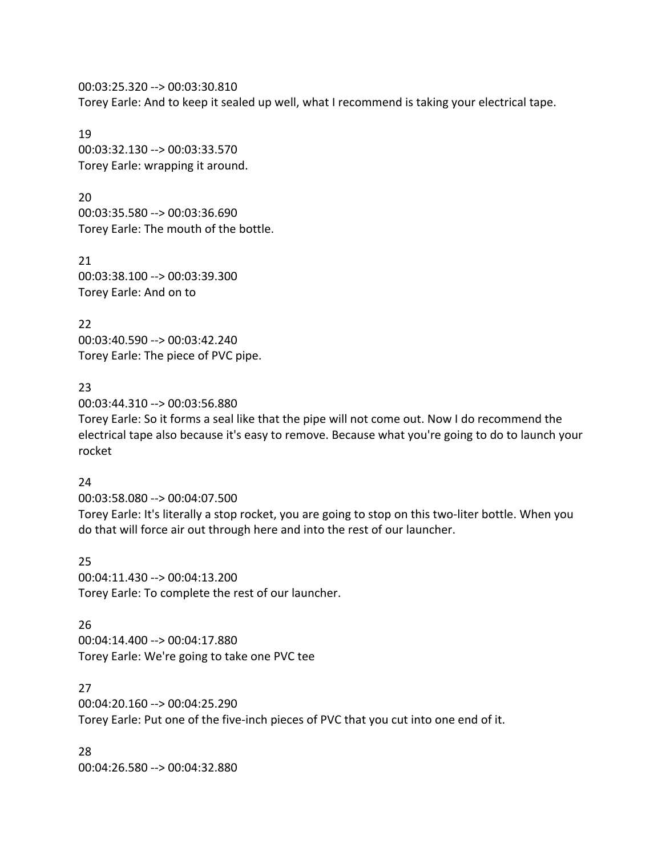00:03:25.320 --> 00:03:30.810 Torey Earle: And to keep it sealed up well, what I recommend is taking your electrical tape.

19 00:03:32.130 --> 00:03:33.570 Torey Earle: wrapping it around.

20 00:03:35.580 --> 00:03:36.690 Torey Earle: The mouth of the bottle.

21 00:03:38.100 --> 00:03:39.300 Torey Earle: And on to

22 00:03:40.590 --> 00:03:42.240 Torey Earle: The piece of PVC pipe.

23

00:03:44.310 --> 00:03:56.880

Torey Earle: So it forms a seal like that the pipe will not come out. Now I do recommend the electrical tape also because it's easy to remove. Because what you're going to do to launch your rocket

24

00:03:58.080 --> 00:04:07.500 Torey Earle: It's literally a stop rocket, you are going to stop on this two-liter bottle. When you do that will force air out through here and into the rest of our launcher.

25 00:04:11.430 --> 00:04:13.200 Torey Earle: To complete the rest of our launcher.

26 00:04:14.400 --> 00:04:17.880 Torey Earle: We're going to take one PVC tee

27 00:04:20.160 --> 00:04:25.290 Torey Earle: Put one of the five-inch pieces of PVC that you cut into one end of it.

28 00:04:26.580 --> 00:04:32.880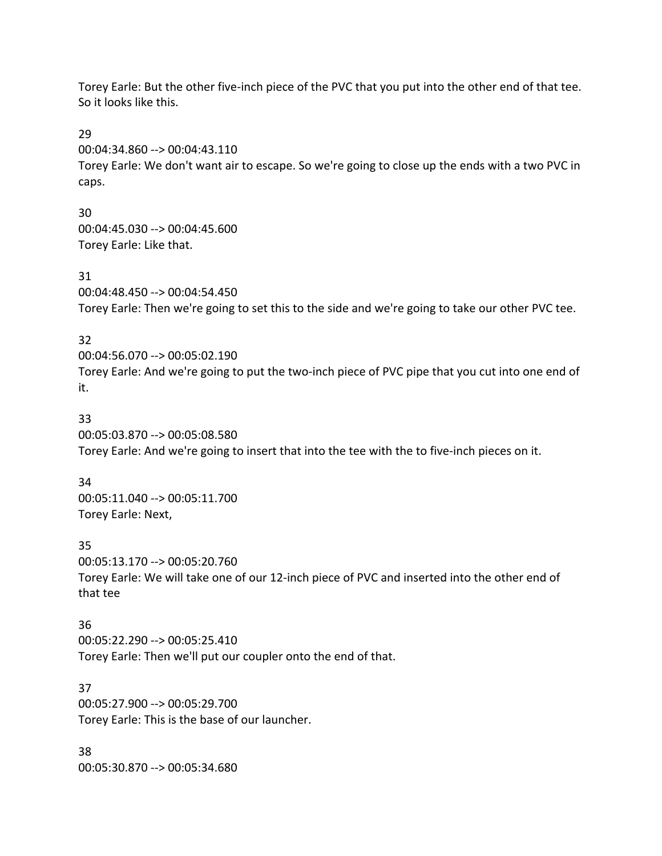Torey Earle: But the other five-inch piece of the PVC that you put into the other end of that tee. So it looks like this.

29

00:04:34.860 --> 00:04:43.110

Torey Earle: We don't want air to escape. So we're going to close up the ends with a two PVC in caps.

30 00:04:45.030 --> 00:04:45.600 Torey Earle: Like that.

31

00:04:48.450 --> 00:04:54.450 Torey Earle: Then we're going to set this to the side and we're going to take our other PVC tee.

### 32

00:04:56.070 --> 00:05:02.190 Torey Earle: And we're going to put the two-inch piece of PVC pipe that you cut into one end of it.

## 33

00:05:03.870 --> 00:05:08.580 Torey Earle: And we're going to insert that into the tee with the to five-inch pieces on it.

### 34

00:05:11.040 --> 00:05:11.700 Torey Earle: Next,

35

00:05:13.170 --> 00:05:20.760 Torey Earle: We will take one of our 12-inch piece of PVC and inserted into the other end of that tee

### 36

00:05:22.290 --> 00:05:25.410 Torey Earle: Then we'll put our coupler onto the end of that.

37

00:05:27.900 --> 00:05:29.700 Torey Earle: This is the base of our launcher.

38 00:05:30.870 --> 00:05:34.680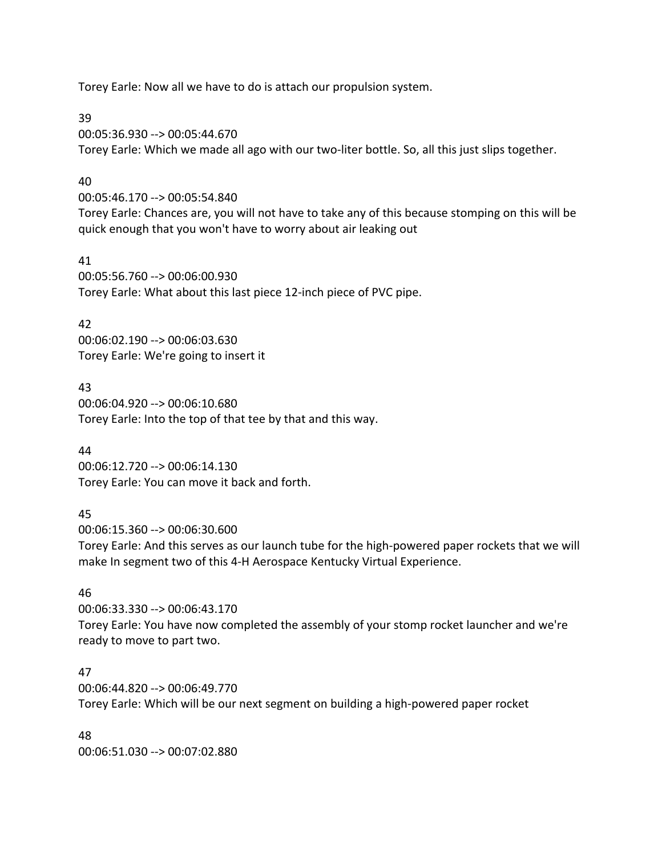Torey Earle: Now all we have to do is attach our propulsion system.

#### 39

00:05:36.930 --> 00:05:44.670 Torey Earle: Which we made all ago with our two-liter bottle. So, all this just slips together.

### 40

00:05:46.170 --> 00:05:54.840

Torey Earle: Chances are, you will not have to take any of this because stomping on this will be quick enough that you won't have to worry about air leaking out

#### 41

00:05:56.760 --> 00:06:00.930 Torey Earle: What about this last piece 12-inch piece of PVC pipe.

## 42

00:06:02.190 --> 00:06:03.630 Torey Earle: We're going to insert it

### 43

00:06:04.920 --> 00:06:10.680 Torey Earle: Into the top of that tee by that and this way.

### 44

00:06:12.720 --> 00:06:14.130 Torey Earle: You can move it back and forth.

### 45

00:06:15.360 --> 00:06:30.600

Torey Earle: And this serves as our launch tube for the high-powered paper rockets that we will make In segment two of this 4-H Aerospace Kentucky Virtual Experience.

### 46

00:06:33.330 --> 00:06:43.170 Torey Earle: You have now completed the assembly of your stomp rocket launcher and we're ready to move to part two.

### 47

00:06:44.820 --> 00:06:49.770 Torey Earle: Which will be our next segment on building a high-powered paper rocket

48 00:06:51.030 --> 00:07:02.880